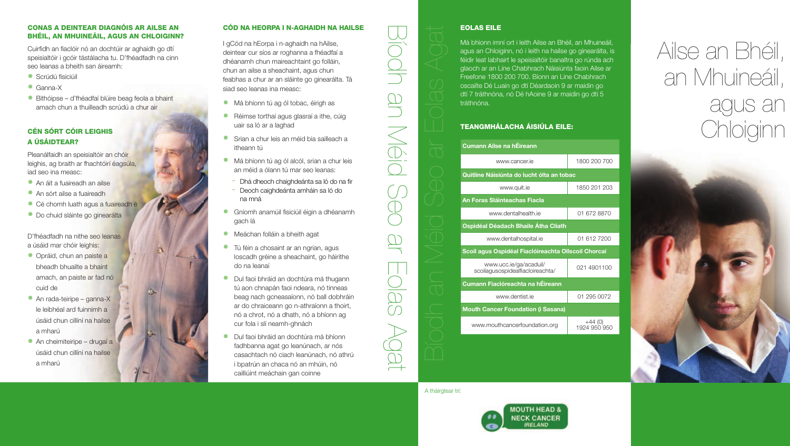# CONAS A DEINTEAR DIAGNÓIS AR AILSE AN BHÉIL, AN MHUINEÁIL, AGUS AN CHLOIGINN?

Cuirfidh an fiaclóir nó an dochtúir ar aghaidh go dtí speisialtóir i gcóir tástálacha tu. D'fhéadfadh na cinn seo leanas a bheith san áireamh:

- $\bullet$  Scrúdú fisiciúil
- Ganna-X
- Bithóipse d'fhéadfaí blúire beag feola a bhaint amach chun a thuilleadh scrúdú a chur air

# CÉN SÓRT CÓIR LEIGHIS A ÚSÁIDTEAR?

Pleanálfaidh an speisialtóir an chóir leighis, ag braith ar fhachtóirí éagsúla, iad seo ina measc:

- An áit a fuaireadh an ailse
- An sórt ailse a fuaireadh
- Cé chomh luath agus a fuaireadh é
- Do chuid sláinte go ginearálta

D'fhéadfadh na nithe seo leanas a úsáid mar chóir leighis:

- Opráid, chun an paiste a bheadh bhuailte a bhaint amach, an paiste ar fad nó cuid de
- An rada-teiripe ganna-X le leibhéal ard fuinnimh a úsáid chun cillíní na hailse a mharú
- An cheimiteiripe drugaí a úsáid chun cillíní na hailse a mharú

# CÓD NA HEORPA I N-AGHAIDH NA HAILSE

I gCód na hEorpa i n-aghaidh na hAilse, deintear cur síos ar roghanna a fhéadfaí a dhéanamh chun maireachtaint go folláin, chun an ailse a sheachaint, agus chun feabhas a chur ar an sláinte go ginearálta. Tá siad seo leanas ina measc:

- Má bhíonn tú ag ól tobac, éirigh as
- Réimse torthaí agus glasraí a ithe, cúig uair sa ló ar a laghad
- Srian a chur leis an méid bia sailleach a itheann tú
- Má bhíonn tú ag ól alcól, srian a chur leis an méid a ólann tú mar seo leanas:
- Dhá dheoch chaighdeánta sa ló do na fir
- Deoch caighdeánta amháin sa ló do na mná
- Gníomh anamúil fisiciúil éigin a dhéanamh gach lá
- Meáchan folláin a bheith agat
- Tú féin a chosaint ar an ngrian, agus loscadh gréine a sheachaint, go háirithe do na leanaí

# • Dul faoi bhráid an dochtúra má thugann tú aon chnapán faoi ndeara, nó tinneas beag nach gcneasaíonn, nó ball dobhráin ar do chraiceann go n-athraíonn a thoirt, nó a chrot, nó a dhath, nó a bhíonn ag cur fola i slí neamh-ghnách

• Dul faoi bhráid an dochtúra má bhíonn fadhbanna agat go leanúnach, ar nós casachtach nó ciach leanúnach, nó athrú i bpatrún an chaca nó an mhúin, nó cailliúint meáchain gan coinne

# Cumann Ailse na hÉireann

|                          | EOLAS EILE                                                                                                                                                                                                                                                                                                                                                                                                                                            |                        |
|--------------------------|-------------------------------------------------------------------------------------------------------------------------------------------------------------------------------------------------------------------------------------------------------------------------------------------------------------------------------------------------------------------------------------------------------------------------------------------------------|------------------------|
|                          | Má bhíonn imní ort i leith Ailse an Bhéil, an Mhuineáil,<br>agus an Chloiginn, nó i leith na hailse go ginearálta, is<br>féidir leat labhairt le speisialtóir banaltra go rúnda ach<br>glaoch ar an Líne Chabhrach Náisiúnta faoin Ailse ar<br>Freefone 1800 200 700. Bíonn an Líne Chabhrach<br>oscailte Dé Luain go dtí Déardaoin 9 ar maidin go<br>dtí 7 tráthnóna, nó Dé hAoine 9 ar maidin go dtí 5<br>tráthnóna.<br>TEANGMHÁLACHA ÁISIÚLA EILE: |                        |
| Cumann Ailse na hÉireann |                                                                                                                                                                                                                                                                                                                                                                                                                                                       |                        |
|                          | www.cancer.ie                                                                                                                                                                                                                                                                                                                                                                                                                                         | 1800 200 700           |
|                          | Quitline Náisiúnta do lucht ólta an tobac                                                                                                                                                                                                                                                                                                                                                                                                             |                        |
|                          | www.quit.ie                                                                                                                                                                                                                                                                                                                                                                                                                                           | 1850 201 203           |
|                          | An Foras Sláinteachas Fiacla                                                                                                                                                                                                                                                                                                                                                                                                                          |                        |
|                          | www.dentalhealth.je                                                                                                                                                                                                                                                                                                                                                                                                                                   | 01 672 8870            |
|                          | Ospidéal Déadach Bhaile Átha Cliath                                                                                                                                                                                                                                                                                                                                                                                                                   |                        |
|                          | www.dentalhospital.ie                                                                                                                                                                                                                                                                                                                                                                                                                                 | 01 612 7200            |
|                          | Scoil agus Ospidéal Fiaclóireachta Ollscoil Chorcaí                                                                                                                                                                                                                                                                                                                                                                                                   |                        |
|                          | www.ucc.ie/ga/acaduil/<br>scoilaqusospidealfiacloireachta/                                                                                                                                                                                                                                                                                                                                                                                            | 021 4901100            |
|                          | Cumann Fiaclóreachta na hÉireann                                                                                                                                                                                                                                                                                                                                                                                                                      |                        |
|                          | www.dentist.ie                                                                                                                                                                                                                                                                                                                                                                                                                                        | 01 295 0072            |
|                          | <b>Mouth Cancer Foundation (i Sasana)</b>                                                                                                                                                                                                                                                                                                                                                                                                             |                        |
|                          | www.mouthcancerfoundation.org                                                                                                                                                                                                                                                                                                                                                                                                                         | 44 (0)<br>1924 950 950 |
|                          |                                                                                                                                                                                                                                                                                                                                                                                                                                                       |                        |

# A tháirgtear trí:

Bíodh an Méid Seo ar Eolas Agat



# Ailse an Bhéil, an Mhuineáil, agus an TEANGMHÁLACHA ÁISIÚLA EILE:<br>D'aisiúla agus an t-aisiúla agus an t-aisiúla agus an t-aisiúla ag an t-aisiúla ag an t-aisiúla ag an t-aisiúl